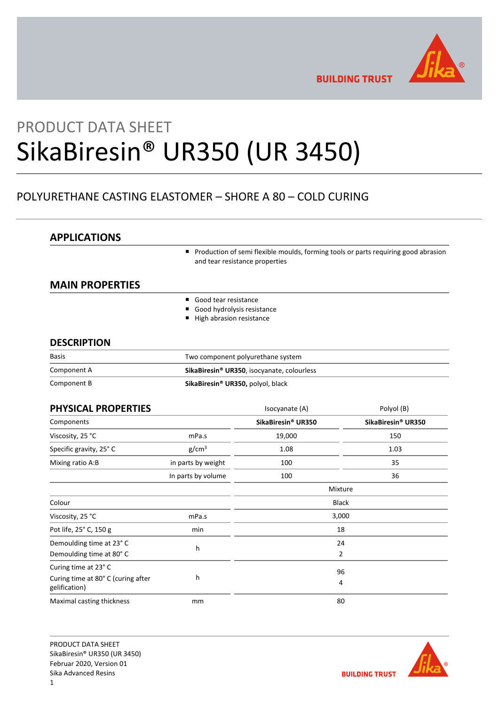

**BUILDING TRUST** 

# PRODUCT DATA SHEET SikaBiresin® UR350 (UR 3450)

# POLYURETHANE CASTING ELASTOMER – SHORE A 80 – COLD CURING

# **APPLICATIONS**

**Production of semi flexible moulds, forming tools or parts requiring good abrasion** and tear resistance properties

# **MAIN PROPERTIES**

- Good tear resistance
- Good hydrolysis resistance
- High abrasion resistance

# **DESCRIPTION**

| Basis       | Two component polyurethane system                      |
|-------------|--------------------------------------------------------|
| Component A | SikaBiresin <sup>®</sup> UR350, isocyanate, colourless |
| Component B | SikaBiresin® UR350, polyol, black                      |

| PHYSICAL PROPERTIES                                 |                    | Isocyanate (A)     | Polyol (B)         |
|-----------------------------------------------------|--------------------|--------------------|--------------------|
| Components                                          |                    | SikaBiresin® UR350 | SikaBiresin® UR350 |
| Viscosity, 25 °C                                    | mPa.s              | 19,000             | 150                |
| Specific gravity, 25° C                             | g/cm <sup>3</sup>  | 1.08               | 1.03               |
| Mixing ratio A:B                                    | in parts by weight | 100                | 35                 |
|                                                     | In parts by volume | 100                | 36                 |
|                                                     |                    |                    | Mixture            |
| Colour                                              |                    |                    | <b>Black</b>       |
| Viscosity, 25 °C                                    | mPa.s              |                    | 3,000              |
| Pot life, 25° C, 150 g                              | min                |                    | 18                 |
| Demoulding time at 23° C                            | h                  |                    | 24                 |
| Demoulding time at 80°C                             |                    |                    | $\overline{2}$     |
| Curing time at 23°C                                 |                    |                    | 96                 |
| Curing time at 80° C (curing after<br>gelification) | h                  |                    | 4                  |
| Maximal casting thickness                           | mm                 |                    | 80                 |

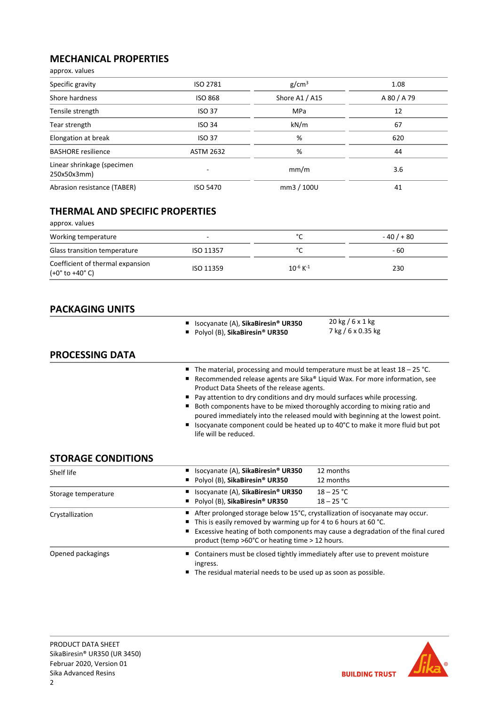# **MECHANICAL PROPERTIES**

| approx. values                            |                  |                   |             |
|-------------------------------------------|------------------|-------------------|-------------|
| Specific gravity                          | ISO 2781         | g/cm <sup>3</sup> | 1.08        |
| Shore hardness                            | <b>ISO 868</b>   | Shore A1 / A15    | A 80 / A 79 |
| Tensile strength                          | <b>ISO 37</b>    | <b>MPa</b>        | 12          |
| Tear strength                             | <b>ISO 34</b>    | kN/m              | 67          |
| Elongation at break                       | <b>ISO 37</b>    | %                 | 620         |
| <b>BASHORE</b> resilience                 | <b>ASTM 2632</b> | %                 | 44          |
| Linear shrinkage (specimen<br>250x50x3mm) |                  | mm/m              | 3.6         |
| Abrasion resistance (TABER)               | <b>ISO 5470</b>  | mm3 / 100U        | 41          |

# **THERMAL AND SPECIFIC PROPERTIES**

approx. values

| Working temperature                                               | $\overline{\phantom{0}}$ | $\sim$<br>∼               | $-40/180$ |
|-------------------------------------------------------------------|--------------------------|---------------------------|-----------|
| Glass transition temperature                                      | ISO 11357                | $\sim$                    | - 60      |
| Coefficient of thermal expansion<br>$(+0^\circ$ to $+40^\circ$ C) | ISO 11359                | $10^{-6}$ K <sup>-1</sup> | 230       |

# **PACKAGING UNITS**

|                           | Isocyanate (A), SikaBiresin <sup>®</sup> UR350<br>Polyol (B), SikaBiresin® UR350                                                                | $20 \text{ kg} / 6 \times 1 \text{ kg}$<br>7 kg / 6 x 0.35 kg                                                                                                                                                                                                                                                                                                                                               |
|---------------------------|-------------------------------------------------------------------------------------------------------------------------------------------------|-------------------------------------------------------------------------------------------------------------------------------------------------------------------------------------------------------------------------------------------------------------------------------------------------------------------------------------------------------------------------------------------------------------|
| <b>PROCESSING DATA</b>    |                                                                                                                                                 |                                                                                                                                                                                                                                                                                                                                                                                                             |
|                           | Product Data Sheets of the release agents.<br>Pay attention to dry conditions and dry mould surfaces while processing.<br>life will be reduced. | The material, processing and mould temperature must be at least $18 - 25$ °C.<br>Recommended release agents are Sika® Liquid Wax. For more information, see<br>Both components have to be mixed thoroughly according to mixing ratio and<br>poured immediately into the released mould with beginning at the lowest point.<br>Isocyanate component could be heated up to 40°C to make it more fluid but pot |
| <b>STORAGE CONDITIONS</b> |                                                                                                                                                 |                                                                                                                                                                                                                                                                                                                                                                                                             |
| Shelf life                | Isocyanate (A), SikaBiresin <sup>®</sup> UR350                                                                                                  | 12 months                                                                                                                                                                                                                                                                                                                                                                                                   |
|                           | Polyol (B), SikaBiresin <sup>®</sup> UR350                                                                                                      | 12 months                                                                                                                                                                                                                                                                                                                                                                                                   |
| Storage temperature       | Isocyanate (A), SikaBiresin <sup>®</sup> UR350                                                                                                  | $18 - 25 °C$                                                                                                                                                                                                                                                                                                                                                                                                |
|                           | Polyol (B), SikaBiresin <sup>®</sup> UR350                                                                                                      | $18 - 25 °C$                                                                                                                                                                                                                                                                                                                                                                                                |

|                   | - POIVOL (B), SIKABIFESIN°UK350<br>18 – 25 L                                                                                                                                                                                                                                                         |
|-------------------|------------------------------------------------------------------------------------------------------------------------------------------------------------------------------------------------------------------------------------------------------------------------------------------------------|
| Crystallization   | After prolonged storage below 15°C, crystallization of isocyanate may occur.<br>$\blacksquare$ This is easily removed by warming up for 4 to 6 hours at 60 °C.<br>Excessive heating of both components may cause a degradation of the final cured<br>product (temp >60°C or heating time > 12 hours. |
| Opened packagings | ■ Containers must be closed tightly immediately after use to prevent moisture<br>ingress.<br>■ The residual material needs to be used up as soon as possible.                                                                                                                                        |